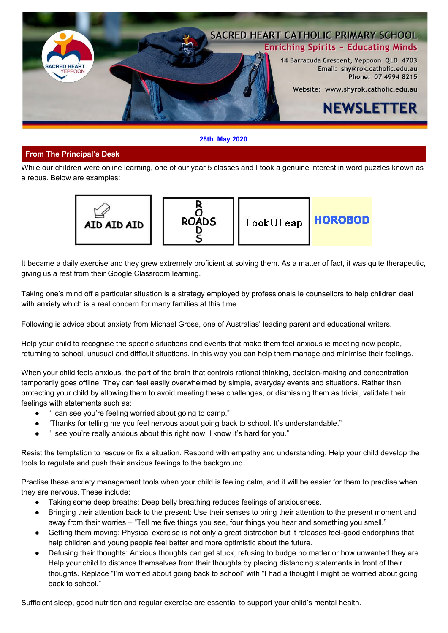

#### **28th May 2020**

# **From The Principal's Desk**

While our children were online learning, one of our year 5 classes and I took a genuine interest in word puzzles known as a rebus. Below are examples:



It became a daily exercise and they grew extremely proficient at solving them. As a matter of fact, it was quite therapeutic, giving us a rest from their Google Classroom learning.

Taking one's mind off a particular situation is a strategy employed by professionals ie counsellors to help children deal with anxiety which is a real concern for many families at this time.

Following is advice about anxiety from Michael Grose, one of Australias' leading parent and educational writers.

Help your child to recognise the specific situations and events that make them feel anxious ie meeting new people, returning to school, unusual and difficult situations. In this way you can help them manage and minimise their feelings.

When your child feels anxious, the part of the brain that controls rational thinking, decision-making and concentration temporarily goes offline. They can feel easily overwhelmed by simple, everyday events and situations. Rather than protecting your child by allowing them to avoid meeting these challenges, or dismissing them as trivial, validate their feelings with statements such as:

- "I can see you're feeling worried about going to camp."
- "Thanks for telling me you feel nervous about going back to school. It's understandable."
- "I see you're really anxious about this right now. I know it's hard for you."

Resist the temptation to rescue or fix a situation. Respond with empathy and understanding. Help your child develop the tools to regulate and push their anxious feelings to the background.

Practise these anxiety management tools when your child is feeling calm, and it will be easier for them to practise when they are nervous. These include:

- Taking some deep breaths: Deep belly breathing reduces feelings of anxiousness.
- Bringing their attention back to the present: Use their senses to bring their attention to the present moment and away from their worries – "Tell me five things you see, four things you hear and something you smell."
- Getting them moving: Physical exercise is not only a great distraction but it releases feel-good endorphins that help children and young people feel better and more optimistic about the future.
- Defusing their thoughts: Anxious thoughts can get stuck, refusing to budge no matter or how unwanted they are. Help your child to distance themselves from their thoughts by placing distancing statements in front of their thoughts. Replace "I'm worried about going back to school" with "I had a thought I might be worried about going back to school."

Sufficient sleep, good nutrition and regular exercise are essential to support your child's mental health.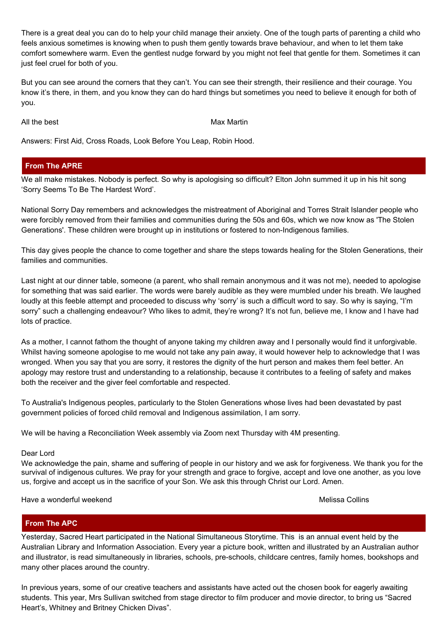There is a great deal you can do to help your child manage their anxiety. One of the tough parts of parenting a child who feels anxious sometimes is knowing when to push them gently towards brave behaviour, and when to let them take comfort somewhere warm. Even the gentlest nudge forward by you might not feel that gentle for them. Sometimes it can just feel cruel for both of you.

But you can see around the corners that they can't. You can see their strength, their resilience and their courage. You know it's there, in them, and you know they can do hard things but sometimes you need to believe it enough for both of you.

All the best **Max Martin** Max Martin

Answers: First Aid, Cross Roads, Look Before You Leap, Robin Hood.

# **From The APRE**

We all make mistakes. Nobody is perfect. So why is apologising so difficult? Elton John summed it up in his hit song 'Sorry Seems To Be The Hardest Word'.

National Sorry Day remembers and acknowledges the mistreatment of Aboriginal and Torres Strait Islander people who were forcibly removed from their families and communities during the 50s and 60s, which we now know as 'The Stolen Generations'. These children were brought up in institutions or fostered to non-Indigenous families.

This day gives people the chance to come together and share the steps towards healing for the Stolen Generations, their families and communities.

Last night at our dinner table, someone (a parent, who shall remain anonymous and it was not me), needed to apologise for something that was said earlier. The words were barely audible as they were mumbled under his breath. We laughed loudly at this feeble attempt and proceeded to discuss why 'sorry' is such a difficult word to say. So why is saying, "I'm sorry" such a challenging endeavour? Who likes to admit, they're wrong? It's not fun, believe me, I know and I have had lots of practice.

As a mother, I cannot fathom the thought of anyone taking my children away and I personally would find it unforgivable. Whilst having someone apologise to me would not take any pain away, it would however help to acknowledge that I was wronged. When you say that you are sorry, it restores the dignity of the hurt person and makes them feel better. An apology may restore trust and understanding to a relationship, because it contributes to a feeling of safety and makes both the receiver and the giver feel comfortable and respected.

To Australia's Indigenous peoples, particularly to the Stolen Generations whose lives had been devastated by past government policies of forced child removal and Indigenous assimilation, I am sorry.

We will be having a Reconciliation Week assembly via Zoom next Thursday with 4M presenting.

# Dear Lord

We acknowledge the pain, shame and suffering of people in our history and we ask for forgiveness. We thank you for the survival of indigenous cultures. We pray for your strength and grace to forgive, accept and love one another, as you love us, forgive and accept us in the sacrifice of your Son. We ask this through Christ our Lord. Amen.

Have a wonderful weekend Network and African Melissa Collins

# **From The APC**

Yesterday, Sacred Heart participated in the National Simultaneous Storytime. This is an annual event held by the Australian Library and Information Association. Every year a picture book, written and illustrated by an Australian author and illustrator, is read simultaneously in libraries, schools, pre-schools, childcare centres, family homes, bookshops and many other places around the country.

In previous years, some of our creative teachers and assistants have acted out the chosen book for eagerly awaiting students. This year, Mrs Sullivan switched from stage director to film producer and movie director, to bring us "Sacred Heart's, Whitney and Britney Chicken Divas".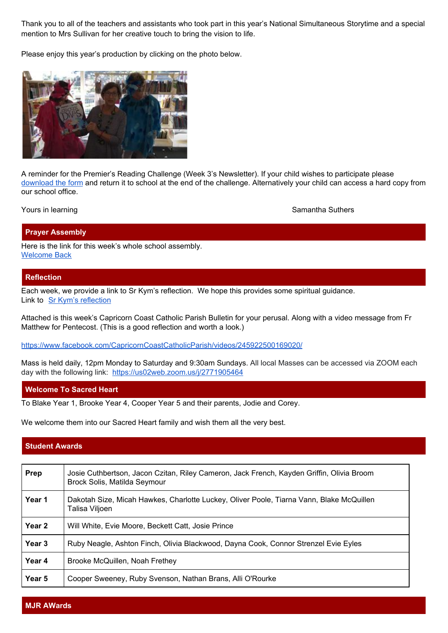Thank you to all of the teachers and assistants who took part in this year's National Simultaneous Storytime and a special mention to Mrs Sullivan for her creative touch to bring the vision to life.

Please enjoy this year's production by clicking on the photo below.



A reminder for the Premier's Reading Challenge (Week 3's Newsletter). If your child wishes to participate please [download](https://drive.google.com/file/d/1K7Eqr_bnu9PeA2P9bfQR4s_W598P-pQ0/view?usp=sharing) the form and return it to school at the end of the challenge. Alternatively your child can access a hard copy from our school office.

Yours in learning Samantha Suthers and Samantha Suthers and Samantha Suthers and Samantha Suthers and Samantha Suthers and Samantha Suthers and Samantha Suthers and Samantha Suthers and Samantha Suthers and Samantha Suther

#### **Prayer Assembly**

Here is the link for this week's whole school assembly. [Welcome](https://docs.google.com/presentation/d/1jRe90k_DsddgoszmJWSka5ha1bj-3V4tvLxVW5FAttw/edit?usp=sharing) Back

#### **Reflection**

Each week, we provide a link to Sr Kym's reflection. We hope this provides some spiritual guidance. Link to Sr Kym's [reflection](https://drive.google.com/file/d/1Qh3En1PDjidKkzZAsHu7vKx0-8eVAg-O/view?usp=sharing)

Attached is this week's Capricorn Coast Catholic Parish Bulletin for your perusal. Along with a video message from Fr Matthew for Pentecost. (This is a good reflection and worth a look.)

[https://www.facebook.com/CapricornCoastCatholicParish/videos/245922500169020/](https://protect-au.mimecast.com/s/RL2RCp81XvIzEo3NtPD4I3?domain=facebook.com/)

Mass is held daily, 12pm Monday to Saturday and 9:30am Sundays. All local Masses can be accessed via ZOOM each day with the following link: [https://us02web.zoom.us/j/2771905464](https://protect-au.mimecast.com/s/IXh7Cq71M0SO6NjPsXWMas?domain=us02web.zoom.us)

# **Welcome To Sacred Heart**

To Blake Year 1, Brooke Year 4, Cooper Year 5 and their parents, Jodie and Corey.

We welcome them into our Sacred Heart family and wish them all the very best.

# **Student Awards**

| Prep   | Josie Cuthbertson, Jacon Czitan, Riley Cameron, Jack French, Kayden Griffin, Olivia Broom<br>Brock Solis, Matilda Seymour |
|--------|---------------------------------------------------------------------------------------------------------------------------|
| Year 1 | Dakotah Size, Micah Hawkes, Charlotte Luckey, Oliver Poole, Tiarna Vann, Blake McQuillen<br>Talisa Viljoen                |
| Year 2 | Will White, Evie Moore, Beckett Catt, Josie Prince                                                                        |
| Year 3 | Ruby Neagle, Ashton Finch, Olivia Blackwood, Dayna Cook, Connor Strenzel Evie Eyles                                       |
| Year 4 | Brooke McQuillen, Noah Frethey                                                                                            |
| Year 5 | Cooper Sweeney, Ruby Svenson, Nathan Brans, Alli O'Rourke                                                                 |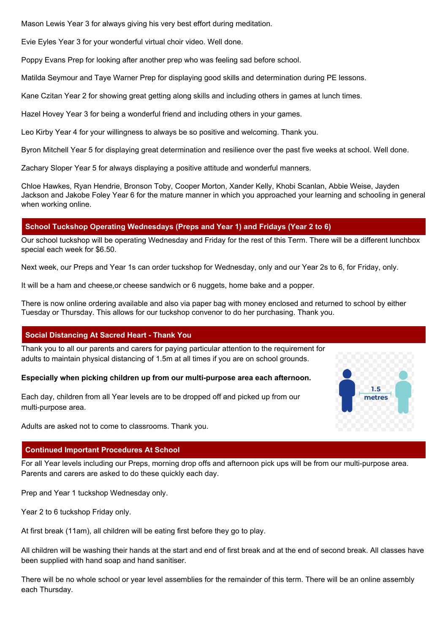Mason Lewis Year 3 for always giving his very best effort during meditation.

Evie Eyles Year 3 for your wonderful virtual choir video. Well done.

Poppy Evans Prep for looking after another prep who was feeling sad before school.

Matilda Seymour and Taye Warner Prep for displaying good skills and determination during PE lessons.

Kane Czitan Year 2 for showing great getting along skills and including others in games at lunch times.

Hazel Hovey Year 3 for being a wonderful friend and including others in your games.

Leo Kirby Year 4 for your willingness to always be so positive and welcoming. Thank you.

Byron Mitchell Year 5 for displaying great determination and resilience over the past five weeks at school. Well done.

Zachary Sloper Year 5 for always displaying a positive attitude and wonderful manners.

Chloe Hawkes, Ryan Hendrie, Bronson Toby, Cooper Morton, Xander Kelly, Khobi Scanlan, Abbie Weise, Jayden Jackson and Jakobe Foley Year 6 for the mature manner in which you approached your learning and schooling in general when working online.

# **School Tuckshop Operating Wednesdays (Preps and Year 1) and Fridays (Year 2 to 6)**

Our school tuckshop will be operating Wednesday and Friday for the rest of this Term. There will be a different lunchbox special each week for \$6.50.

Next week, our Preps and Year 1s can order tuckshop for Wednesday, only and our Year 2s to 6, for Friday, only.

It will be a ham and cheese,or cheese sandwich or 6 nuggets, home bake and a popper.

There is now online ordering available and also via paper bag with money enclosed and returned to school by either Tuesday or Thursday. This allows for our tuckshop convenor to do her purchasing. Thank you.

# **Social Distancing At Sacred Heart - Thank You**

Thank you to all our parents and carers for paying particular attention to the requirement for adults to maintain physical distancing of 1.5m at all times if you are on school grounds.

# **Especially when picking children up from our multi-purpose area each afternoon.**

Each day, children from all Year levels are to be dropped off and picked up from our multi-purpose area.

Adults are asked not to come to classrooms. Thank you.

# $1.5$ metres

# **Continued Important Procedures At School**

For all Year levels including our Preps, morning drop offs and afternoon pick ups will be from our multi-purpose area. Parents and carers are asked to do these quickly each day.

Prep and Year 1 tuckshop Wednesday only.

Year 2 to 6 tuckshop Friday only.

At first break (11am), all children will be eating first before they go to play.

All children will be washing their hands at the start and end of first break and at the end of second break. All classes have been supplied with hand soap and hand sanitiser.

There will be no whole school or year level assemblies for the remainder of this term. There will be an online assembly each Thursday.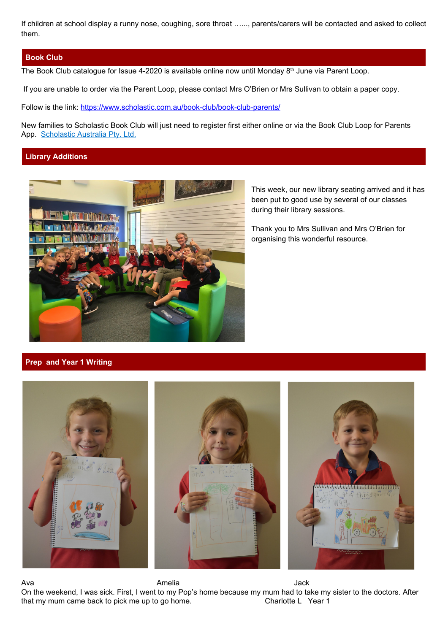If children at school display a runny nose, coughing, sore throat …..., parents/carers will be contacted and asked to collect them.

#### **Book Club**

The Book Club catalogue for Issue 4-2020 is available online now until Monday  $8<sup>th</sup>$  June via Parent Loop.

If you are unable to order via the Parent Loop, please contact Mrs O'Brien or Mrs Sullivan to obtain a paper copy.

Follow is the link: <https://www.scholastic.com.au/book-club/book-club-parents/>

New families to Scholastic Book Club will just need to register first either online or via the Book Club Loop for Parents App. [Scholastic](https://apps.apple.com/au/developer/scholastic-australia-pty-ltd/id821649407) Australia Pty. Ltd.

# **Library Additions**



This week, our new library seating arrived and it has been put to good use by several of our classes during their library sessions.

Thank you to Mrs Sullivan and Mrs O'Brien for organising this wonderful resource.

# **Prep and Year 1 Writing**



Ava Amelia Jack On the weekend, I was sick. First, I went to my Pop's home because my mum had to take my sister to the doctors. After that my mum came back to pick me up to go home. Charlotte L Year 1